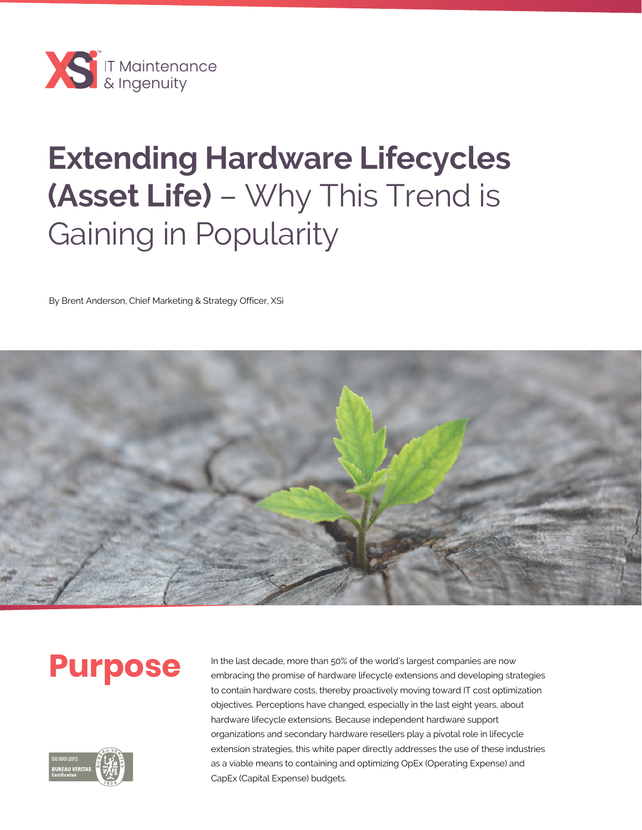

# **Extending Hardware Lifecycles (Asset Life)** – Why This Trend is Gaining in Popularity

By Brent Anderson, Chief Marketing & Strategy Officer, XSi





**Purpose** In the last decade, more than 50% of the world's largest companies are now<br>embracing the promise of hardware lifecycle extensions and developing stra embracing the promise of hardware lifecycle extensions and developing strategies to contain hardware costs, thereby proactively moving toward IT cost optimization objectives. Perceptions have changed, especially in the last eight years, about hardware lifecycle extensions. Because independent hardware support organizations and secondary hardware resellers play a pivotal role in lifecycle extension strategies, this white paper directly addresses the use of these industries as a viable means to containing and optimizing OpEx (Operating Expense) and CapEx (Capital Expense) budgets.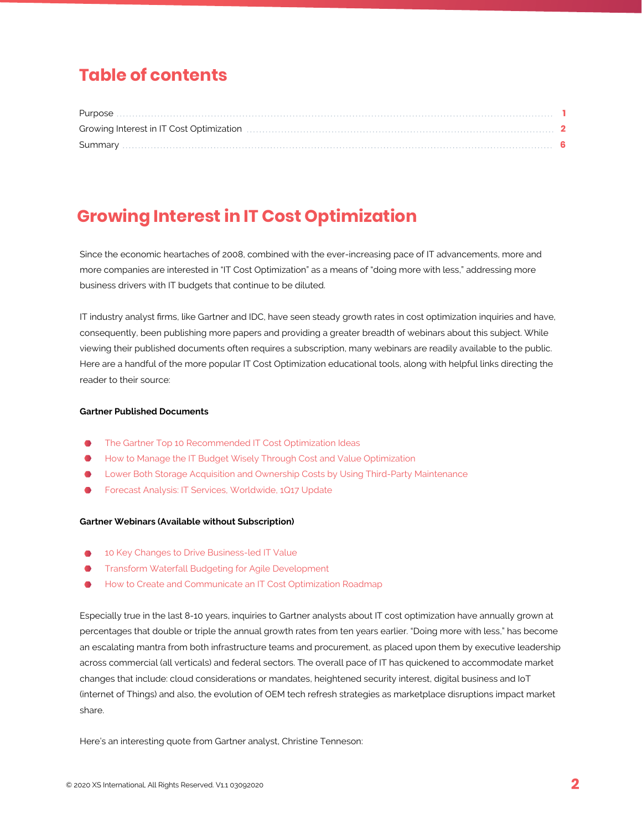# **Table of contents**

| Purpose |  |
|---------|--|
|         |  |
|         |  |

# **Growing Interest in IT Cost Optimization**

Since the economic heartaches of 2008, combined with the ever-increasing pace of IT advancements, more and more companies are interested in "IT Cost Optimization" as a means of "doing more with less," addressing more business drivers with IT budgets that continue to be diluted.

IT industry analyst firms, like Gartner and IDC, have seen steady growth rates in cost optimization inquiries and have, consequently, been publishing more papers and providing a greater breadth of webinars about this subject. While viewing their published documents often requires a subscription, many webinars are readily available to the public. Here are a handful of the more popular IT Cost Optimization educational tools, along with helpful links directing the reader to their source:

#### **Gartner Published Documents**

- The Gartner Top 10 Recommended IT Cost Optimization Ideas
- How to Manage the IT Budget Wisely Through Cost and Value Optimization
- Lower Both Storage Acquisition and Ownership Costs by Using Third-Party Maintenance
- Forecast Analysis: IT Services, Worldwide, 1Q17 Update

#### **Gartner Webinars (Available without Subscription)**

- 10 Key Changes to Drive Business-led IT Value
- Transform Waterfall Budgeting for Agile Development
- How to Create and Communicate an IT Cost Optimization Roadmap

Especially true in the last 8-10 years, inquiries to Gartner analysts about IT cost optimization have annually grown at percentages that double or triple the annual growth rates from ten years earlier. "Doing more with less," has become an escalating mantra from both infrastructure teams and procurement, as placed upon them by executive leadership across commercial (all verticals) and federal sectors. The overall pace of IT has quickened to accommodate market changes that include: cloud considerations or mandates, heightened security interest, digital business and IoT (internet of Things) and also, the evolution of OEM tech refresh strategies as marketplace disruptions impact market share.

Here's an interesting quote from Gartner analyst, Christine Tenneson: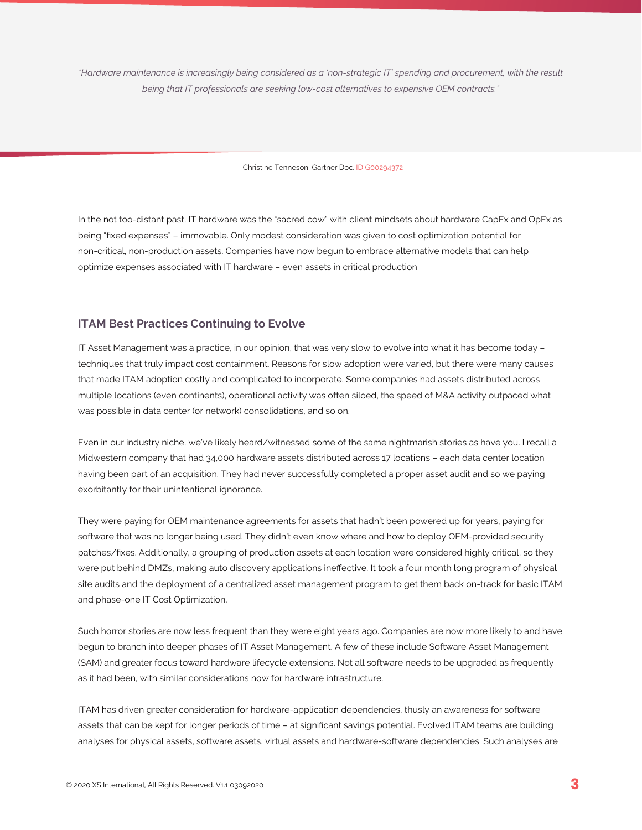*"Hardware maintenance is increasingly being considered as a 'non-strategic IT' spending and procurement, with the result being that IT professionals are seeking low-cost alternatives to expensive OEM contracts."*

Christine Tenneson, Gartner Doc. ID G00294372

In the not too-distant past, IT hardware was the "sacred cow" with client mindsets about hardware CapEx and OpEx as being "fixed expenses" – immovable. Only modest consideration was given to cost optimization potential for non-critical, non-production assets. Companies have now begun to embrace alternative models that can help optimize expenses associated with IT hardware – even assets in critical production.

#### **ITAM Best Practices Continuing to Evolve**

IT Asset Management was a practice, in our opinion, that was very slow to evolve into what it has become today – techniques that truly impact cost containment. Reasons for slow adoption were varied, but there were many causes that made ITAM adoption costly and complicated to incorporate. Some companies had assets distributed across multiple locations (even continents), operational activity was often siloed, the speed of M&A activity outpaced what was possible in data center (or network) consolidations, and so on.

Even in our industry niche, we've likely heard/witnessed some of the same nightmarish stories as have you. I recall a Midwestern company that had 34,000 hardware assets distributed across 17 locations – each data center location having been part of an acquisition. They had never successfully completed a proper asset audit and so we paying exorbitantly for their unintentional ignorance.

They were paying for OEM maintenance agreements for assets that hadn't been powered up for years, paying for software that was no longer being used. They didn't even know where and how to deploy OEM-provided security patches/fixes. Additionally, a grouping of production assets at each location were considered highly critical, so they were put behind DMZs, making auto discovery applications ineffective. It took a four month long program of physical site audits and the deployment of a centralized asset management program to get them back on-track for basic ITAM and phase-one IT Cost Optimization.

Such horror stories are now less frequent than they were eight years ago. Companies are now more likely to and have begun to branch into deeper phases of IT Asset Management. A few of these include Software Asset Management (SAM) and greater focus toward hardware lifecycle extensions. Not all software needs to be upgraded as frequently as it had been, with similar considerations now for hardware infrastructure.

ITAM has driven greater consideration for hardware-application dependencies, thusly an awareness for software assets that can be kept for longer periods of time – at significant savings potential. Evolved ITAM teams are building analyses for physical assets, software assets, virtual assets and hardware-software dependencies. Such analyses are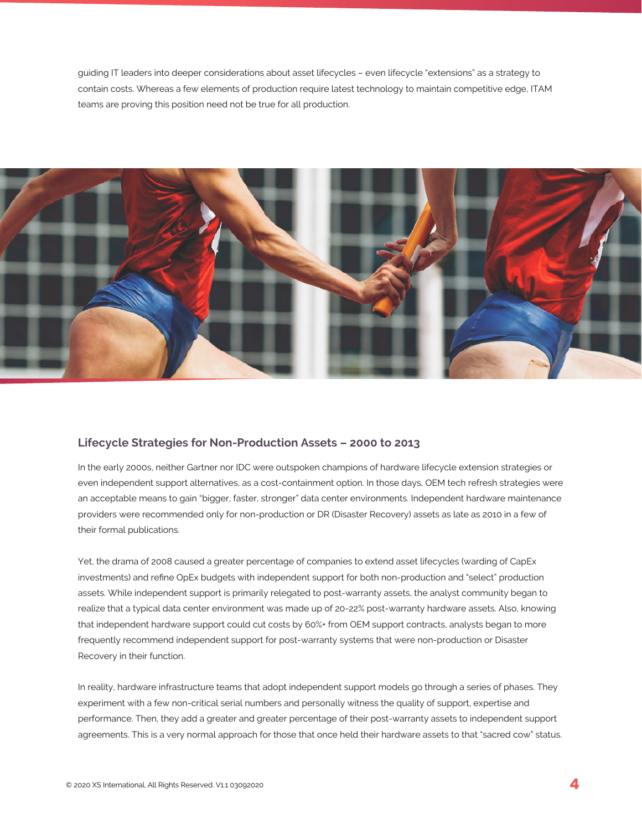guiding IT leaders into deeper considerations about asset lifecycles – even lifecycle "extensions" as a strategy to contain costs. Whereas a few elements of production require latest technology to maintain competitive edge, ITAM teams are proving this position need not be true for all production.



#### **Lifecycle Strategies for Non-Production Assets – 2000 to 2013**

In the early 2000s, neither Gartner nor IDC were outspoken champions of hardware lifecycle extension strategies or even independent support alternatives, as a cost-containment option. In those days, OEM tech refresh strategies were an acceptable means to gain "bigger, faster, stronger" data center environments. Independent hardware maintenance providers were recommended only for non-production or DR (Disaster Recovery) assets as late as 2010 in a few of their formal publications.

Yet, the drama of 2008 caused a greater percentage of companies to extend asset lifecycles (warding of CapEx investments) and refine OpEx budgets with independent support for both non-production and "select" production assets. While independent support is primarily relegated to post-warranty assets, the analyst community began to realize that a typical data center environment was made up of 20-22% post-warranty hardware assets. Also, knowing that independent hardware support could cut costs by 60%+ from OEM support contracts, analysts began to more frequently recommend independent support for post-warranty systems that were non-production or Disaster Recovery in their function.

In reality, hardware infrastructure teams that adopt independent support models go through a series of phases. They experiment with a few non-critical serial numbers and personally witness the quality of support, expertise and performance. Then, they add a greater and greater percentage of their post-warranty assets to independent support agreements. This is a very normal approach for those that once held their hardware assets to that "sacred cow" status.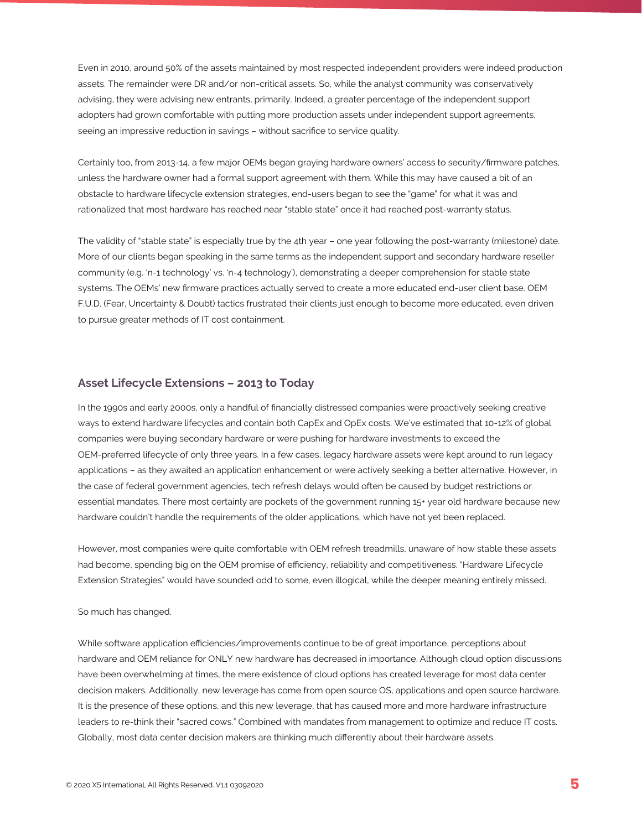Even in 2010, around 50% of the assets maintained by most respected independent providers were indeed production assets. The remainder were DR and/or non-critical assets. So, while the analyst community was conservatively advising, they were advising new entrants, primarily. Indeed, a greater percentage of the independent support adopters had grown comfortable with putting more production assets under independent support agreements, seeing an impressive reduction in savings – without sacrifice to service quality.

Certainly too, from 2013-14, a few major OEMs began graying hardware owners' access to security/firmware patches, unless the hardware owner had a formal support agreement with them. While this may have caused a bit of an obstacle to hardware lifecycle extension strategies, end-users began to see the "game" for what it was and rationalized that most hardware has reached near "stable state" once it had reached post-warranty status.

The validity of "stable state" is especially true by the 4th year – one year following the post-warranty (milestone) date. More of our clients began speaking in the same terms as the independent support and secondary hardware reseller community (e.g. 'n-1 technology' vs. 'n-4 technology'), demonstrating a deeper comprehension for stable state systems. The OEMs' new firmware practices actually served to create a more educated end-user client base. OEM F.U.D. (Fear, Uncertainty & Doubt) tactics frustrated their clients just enough to become more educated, even driven to pursue greater methods of IT cost containment.

### **Asset Lifecycle Extensions – 2013 to Today**

In the 1990s and early 2000s, only a handful of financially distressed companies were proactively seeking creative ways to extend hardware lifecycles and contain both CapEx and OpEx costs. We've estimated that 10-12% of global companies were buying secondary hardware or were pushing for hardware investments to exceed the OEM-preferred lifecycle of only three years. In a few cases, legacy hardware assets were kept around to run legacy applications – as they awaited an application enhancement or were actively seeking a better alternative. However, in the case of federal government agencies, tech refresh delays would often be caused by budget restrictions or essential mandates. There most certainly are pockets of the government running 15+ year old hardware because new hardware couldn't handle the requirements of the older applications, which have not yet been replaced.

However, most companies were quite comfortable with OEM refresh treadmills, unaware of how stable these assets had become, spending big on the OEM promise of efficiency, reliability and competitiveness. "Hardware Lifecycle Extension Strategies" would have sounded odd to some, even illogical, while the deeper meaning entirely missed.

#### So much has changed.

While software application efficiencies/improvements continue to be of great importance, perceptions about hardware and OEM reliance for ONLY new hardware has decreased in importance. Although cloud option discussions have been overwhelming at times, the mere existence of cloud options has created leverage for most data center decision makers. Additionally, new leverage has come from open source OS, applications and open source hardware. It is the presence of these options, and this new leverage, that has caused more and more hardware infrastructure leaders to re-think their "sacred cows." Combined with mandates from management to optimize and reduce IT costs. Globally, most data center decision makers are thinking much differently about their hardware assets.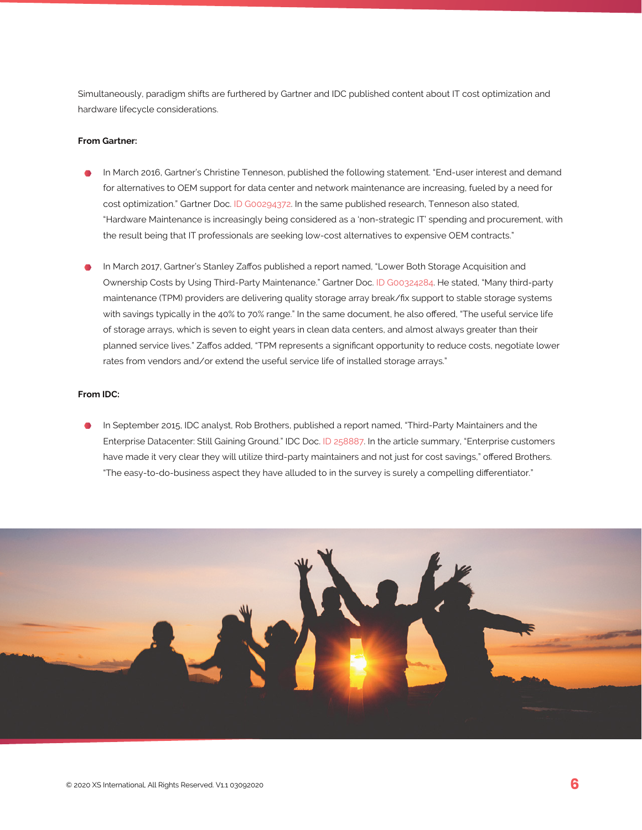Simultaneously, paradigm shifts are furthered by Gartner and IDC published content about IT cost optimization and hardware lifecycle considerations.

#### **From Gartner:**

- In March 2016, Gartner's Christine Tenneson, published the following statement. "End-user interest and demand for alternatives to OEM support for data center and network maintenance are increasing, fueled by a need for cost optimization." Gartner Doc. ID G00294372. In the same published research, Tenneson also stated, "Hardware Maintenance is increasingly being considered as a 'non-strategic IT' spending and procurement, with the result being that IT professionals are seeking low-cost alternatives to expensive OEM contracts."
- In March 2017, Gartner's Stanley Zaffos published a report named, "Lower Both Storage Acquisition and Ownership Costs by Using Third-Party Maintenance." Gartner Doc. ID G00324284. He stated, "Many third-party maintenance (TPM) providers are delivering quality storage array break/fix support to stable storage systems with savings typically in the 40% to 70% range." In the same document, he also offered, "The useful service life of storage arrays, which is seven to eight years in clean data centers, and almost always greater than their planned service lives." Zaffos added, "TPM represents a significant opportunity to reduce costs, negotiate lower rates from vendors and/or extend the useful service life of installed storage arrays."

#### **From IDC:**

In September 2015, IDC analyst, Rob Brothers, published a report named, "Third-Party Maintainers and the Enterprise Datacenter: Still Gaining Ground." IDC Doc. ID 258887. In the article summary, "Enterprise customers have made it very clear they will utilize third-party maintainers and not just for cost savings," offered Brothers. "The easy-to-do-business aspect they have alluded to in the survey is surely a compelling differentiator."

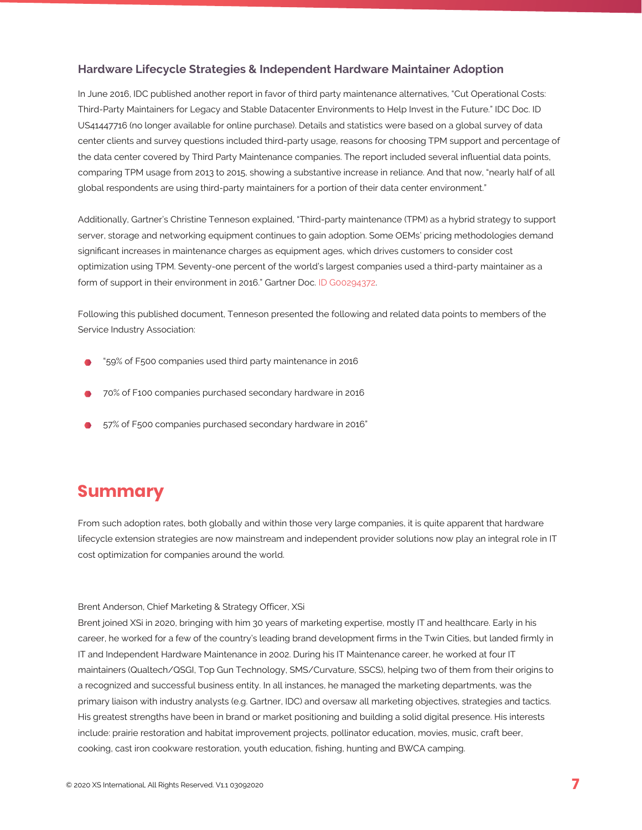#### **Hardware Lifecycle Strategies & Independent Hardware Maintainer Adoption**

In June 2016, IDC published another report in favor of third party maintenance alternatives, "Cut Operational Costs: Third-Party Maintainers for Legacy and Stable Datacenter Environments to Help Invest in the Future." IDC Doc. ID US41447716 (no longer available for online purchase). Details and statistics were based on a global survey of data center clients and survey questions included third-party usage, reasons for choosing TPM support and percentage of the data center covered by Third Party Maintenance companies. The report included several influential data points, comparing TPM usage from 2013 to 2015, showing a substantive increase in reliance. And that now, "nearly half of all global respondents are using third-party maintainers for a portion of their data center environment."

Additionally, Gartner's Christine Tenneson explained, "Third-party maintenance (TPM) as a hybrid strategy to support server, storage and networking equipment continues to gain adoption. Some OEMs' pricing methodologies demand significant increases in maintenance charges as equipment ages, which drives customers to consider cost optimization using TPM. Seventy-one percent of the world's largest companies used a third-party maintainer as a form of support in their environment in 2016." Gartner Doc. ID G00294372.

Following this published document, Tenneson presented the following and related data points to members of the Service Industry Association:

- "59% of F500 companies used third party maintenance in 2016
- 70% of F100 companies purchased secondary hardware in 2016
- 57% of F500 companies purchased secondary hardware in 2016"

## **Summary**

From such adoption rates, both globally and within those very large companies, it is quite apparent that hardware lifecycle extension strategies are now mainstream and independent provider solutions now play an integral role in IT cost optimization for companies around the world.

#### Brent Anderson, Chief Marketing & Strategy Officer, XSi

Brent joined XSi in 2020, bringing with him 30 years of marketing expertise, mostly IT and healthcare. Early in his career, he worked for a few of the country's leading brand development firms in the Twin Cities, but landed firmly in IT and Independent Hardware Maintenance in 2002. During his IT Maintenance career, he worked at four IT maintainers (Qualtech/QSGI, Top Gun Technology, SMS/Curvature, SSCS), helping two of them from their origins to a recognized and successful business entity. In all instances, he managed the marketing departments, was the primary liaison with industry analysts (e.g. Gartner, IDC) and oversaw all marketing objectives, strategies and tactics. His greatest strengths have been in brand or market positioning and building a solid digital presence. His interests include: prairie restoration and habitat improvement projects, pollinator education, movies, music, craft beer, cooking, cast iron cookware restoration, youth education, fishing, hunting and BWCA camping.